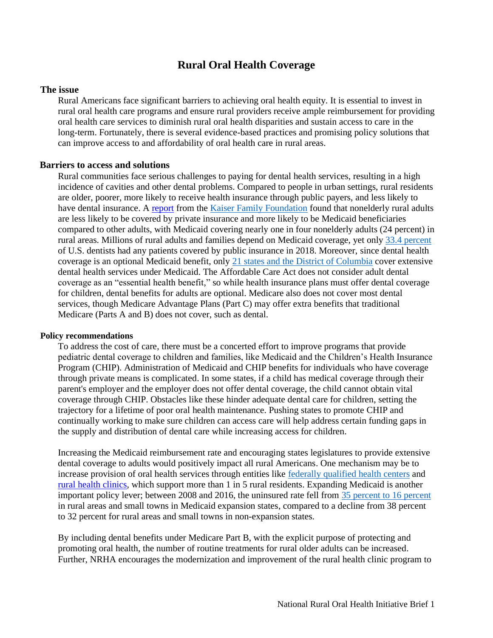# **Rural Oral Health Coverage**

#### **The issue**

Rural Americans face significant barriers to achieving oral health equity. It is essential to invest in rural oral health care programs and ensure rural providers receive ample reimbursement for providing oral health care services to diminish rural oral health disparities and sustain access to care in the long-term. Fortunately, there is several evidence-based practices and promising policy solutions that can improve access to and affordability of oral health care in rural areas.

### **Barriers to access and solutions**

Rural communities face serious challenges to paying for dental health services, resulting in a high incidence of cavities and other dental problems. Compared to people in urban settings, rural residents are older, poorer, more likely to receive health insurance through public payers, and less likely to have dental insurance. A [report](https://www.kff.org/medicaid/issue-brief/the-role-of-medicaid-in-rural-america/) from th[e](https://www.kff.org/medicaid/issue-brief/the-role-of-medicaid-in-rural-america/%22HYPERLINK%20%22https:/www.kff.org/medicaid/issue-brief/the-role-of-medicaid-in-rural-america/%22) Kaiser Family Foundation found that nonelderly rural adults are less likely to be covered by private insurance and more likely to be Medicaid beneficiaries compared to other adults, with Medicaid covering nearly one in four nonelderly adults (24 percent) in rural areas. Millions of rural adults and families depend on Medicaid coverage, yet onl[y](https://www.ada.org/~/media/ADA/Science%20and%20Research/HPI/Files/HPIData_SDPC_2018.xlsx) 33.4 [percent](https://www.ada.org/~/media/ADA/Science%20and%20Research/HPI/Files/HPIData_SDPC_2018.xlsx) of U.S. dentists had any patients covered by public insurance in 2018. Moreover, since dental health coverage is an optional Medicaid benefit, onl[y](https://www.chcs.org/media/Adult-Oral-Health-Fact-Sheet_091519.pdf) [21 states and the District of Columbia](https://www.familiesusa.org/wp-content/uploads/2021/07/HPI-CC-FUSA-WhitePaper_0721.pdf) cover extensive dental health services under Medicaid. The Affordable Care Act does not consider adult dental coverage as an "essential health benefit," so while health insurance plans must offer dental coverage for children, dental benefits for adults are optional. Medicare also does not cover most dental services, though Medicare Advantage Plans (Part C) may offer extra benefits that traditional Medicare (Parts A and B) does not cover, such as dental.

#### **Policy recommendations**

To address the cost of care, there must be a concerted effort to improve programs that provide pediatric dental coverage to children and families, like Medicaid and the Children's Health Insurance Program (CHIP). Administration of Medicaid and CHIP benefits for individuals who have coverage through private means is complicated. In some states, if a child has medical coverage through their parent's employer and the employer does not offer dental coverage, the child cannot obtain vital coverage through CHIP. Obstacles like these hinder adequate dental care for children, setting the trajectory for a lifetime of poor oral health maintenance. Pushing states to promote CHIP and continually working to make sure children can access care will help address certain funding gaps in the supply and distribution of dental care while increasing access for children.

Increasing the Medicaid reimbursement rate and encouraging states legislatures to provide extensive dental coverage to adults would positively impact all rural Americans. One mechanism may be to increase provision of oral health services through entities like federally qualified health centers and [rural health clinics,](https://www.ruralhealthinfo.org/topics/rural-health-clinics) which support more than 1 in 5 rural residents. Expanding Medicaid is another important policy lever; between 2008 and 2016, the uninsured rate fell fro[m](https://ccf.georgetown.edu/2018/09/25/health-insurance-coverage-in-small-towns-and-rural-america-the-role-of-medicaid-expansion/) 35 [percent](https://ccf.georgetown.edu/2018/09/25/health-insurance-coverage-in-small-towns-and-rural-america-the-role-of-medicaid-expansion/) to 16 percent in rural areas and small towns in Medicaid expansion states, compared to a decline from 38 percent to 32 percent for rural areas and small towns in non-expansion states.

By including dental benefits under Medicare Part B, with the explicit purpose of protecting and promoting oral health, the number of routine treatments for rural older adults can be increased. Further, NRHA encourages the modernization and improvement of the rural health clinic program to